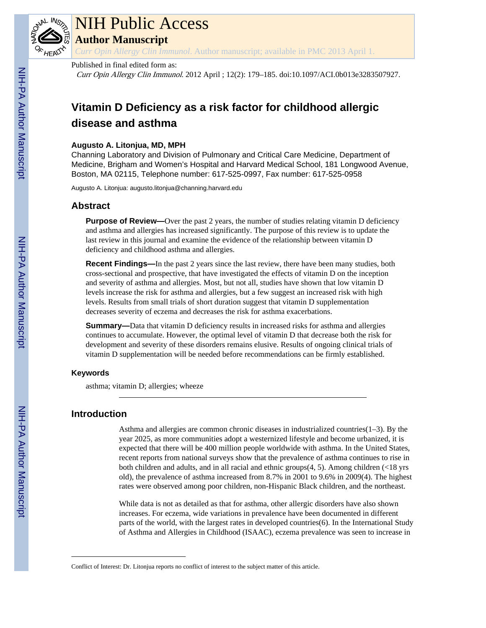

# NIH Public Access

**Author Manuscript**

*Curr Opin Allergy Clin Immunol*. Author manuscript; available in PMC 2013 April 1.

# Published in final edited form as:

Curr Opin Allergy Clin Immunol. 2012 April ; 12(2): 179–185. doi:10.1097/ACI.0b013e3283507927.

# **Vitamin D Deficiency as a risk factor for childhood allergic disease and asthma**

# **Augusto A. Litonjua, MD, MPH**

Channing Laboratory and Division of Pulmonary and Critical Care Medicine, Department of Medicine, Brigham and Women's Hospital and Harvard Medical School, 181 Longwood Avenue, Boston, MA 02115, Telephone number: 617-525-0997, Fax number: 617-525-0958

Augusto A. Litonjua: augusto.litonjua@channing.harvard.edu

# **Abstract**

**Purpose of Review—Over** the past 2 years, the number of studies relating vitamin D deficiency and asthma and allergies has increased significantly. The purpose of this review is to update the last review in this journal and examine the evidence of the relationship between vitamin D deficiency and childhood asthma and allergies.

**Recent Findings—In** the past 2 years since the last review, there have been many studies, both cross-sectional and prospective, that have investigated the effects of vitamin D on the inception and severity of asthma and allergies. Most, but not all, studies have shown that low vitamin D levels increase the risk for asthma and allergies, but a few suggest an increased risk with high levels. Results from small trials of short duration suggest that vitamin D supplementation decreases severity of eczema and decreases the risk for asthma exacerbations.

**Summary—**Data that vitamin D deficiency results in increased risks for asthma and allergies continues to accumulate. However, the optimal level of vitamin D that decrease both the risk for development and severity of these disorders remains elusive. Results of ongoing clinical trials of vitamin D supplementation will be needed before recommendations can be firmly established.

# **Keywords**

asthma; vitamin D; allergies; wheeze

# **Introduction**

Asthma and allergies are common chronic diseases in industrialized countries $(1-3)$ . By the year 2025, as more communities adopt a westernized lifestyle and become urbanized, it is expected that there will be 400 million people worldwide with asthma. In the United States, recent reports from national surveys show that the prevalence of asthma continues to rise in both children and adults, and in all racial and ethnic groups(4, 5). Among children (<18 yrs old), the prevalence of asthma increased from 8.7% in 2001 to 9.6% in 2009(4). The highest rates were observed among poor children, non-Hispanic Black children, and the northeast.

While data is not as detailed as that for asthma, other allergic disorders have also shown increases. For eczema, wide variations in prevalence have been documented in different parts of the world, with the largest rates in developed countries(6). In the International Study of Asthma and Allergies in Childhood (ISAAC), eczema prevalence was seen to increase in

Conflict of Interest: Dr. Litonjua reports no conflict of interest to the subject matter of this article.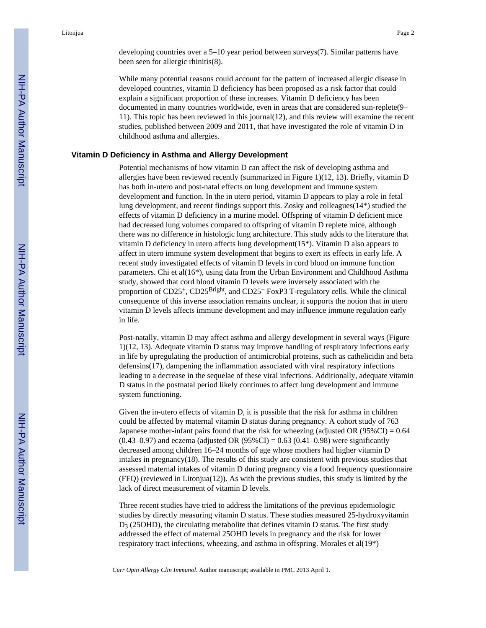developing countries over a 5–10 year period between surveys(7). Similar patterns have been seen for allergic rhinitis(8).

While many potential reasons could account for the pattern of increased allergic disease in developed countries, vitamin D deficiency has been proposed as a risk factor that could explain a significant proportion of these increases. Vitamin D deficiency has been documented in many countries worldwide, even in areas that are considered sun-replete(9– 11). This topic has been reviewed in this journal(12), and this review will examine the recent studies, published between 2009 and 2011, that have investigated the role of vitamin D in childhood asthma and allergies.

#### **Vitamin D Deficiency in Asthma and Allergy Development**

Potential mechanisms of how vitamin D can affect the risk of developing asthma and allergies have been reviewed recently (summarized in Figure 1)(12, 13). Briefly, vitamin D has both in-utero and post-natal effects on lung development and immune system development and function. In the in utero period, vitamin D appears to play a role in fetal lung development, and recent findings support this. Zosky and colleagues(14\*) studied the effects of vitamin D deficiency in a murine model. Offspring of vitamin D deficient mice had decreased lung volumes compared to offspring of vitamin D replete mice, although there was no difference in histologic lung architecture. This study adds to the literature that vitamin D deficiency in utero affects lung development(15\*). Vitamin D also appears to affect in utero immune system development that begins to exert its effects in early life. A recent study investigated effects of vitamin D levels in cord blood on immune function parameters. Chi et al(16\*), using data from the Urban Environment and Childhood Asthma study, showed that cord blood vitamin D levels were inversely associated with the proportion of  $CD25^+$ ,  $CD25<sup>Bright</sup>$ , and  $CD25<sup>+</sup>$  FoxP3 T-regulatory cells. While the clinical consequence of this inverse association remains unclear, it supports the notion that in utero vitamin D levels affects immune development and may influence immune regulation early in life.

Post-natally, vitamin D may affect asthma and allergy development in several ways (Figure 1)(12, 13). Adequate vitamin D status may improve handling of respiratory infections early in life by upregulating the production of antimicrobial proteins, such as cathelicidin and beta defensins(17), dampening the inflammation associated with viral respiratory infections leading to a decrease in the sequelae of these viral infections. Additionally, adequate vitamin D status in the postnatal period likely continues to affect lung development and immune system functioning.

Given the in-utero effects of vitamin D, it is possible that the risk for asthma in children could be affected by maternal vitamin D status during pregnancy. A cohort study of 763 Japanese mother-infant pairs found that the risk for wheezing (adjusted OR  $(95\%CI) = 0.64$ ) (0.43–0.97) and eczema (adjusted OR  $(95\% CI) = 0.63$  (0.41–0.98) were significantly decreased among children 16–24 months of age whose mothers had higher vitamin D intakes in  $pregnancy(18)$ . The results of this study are consistent with previous studies that assessed maternal intakes of vitamin D during pregnancy via a food frequency questionnaire (FFQ) (reviewed in Litonjua(12)). As with the previous studies, this study is limited by the lack of direct measurement of vitamin D levels.

Three recent studies have tried to address the limitations of the previous epidemiologic studies by directly measuring vitamin D status. These studies measured 25-hydroxyvitamin  $D_3$  (25OHD), the circulating metabolite that defines vitamin D status. The first study addressed the effect of maternal 25OHD levels in pregnancy and the risk for lower respiratory tract infections, wheezing, and asthma in offspring. Morales et al(19\*)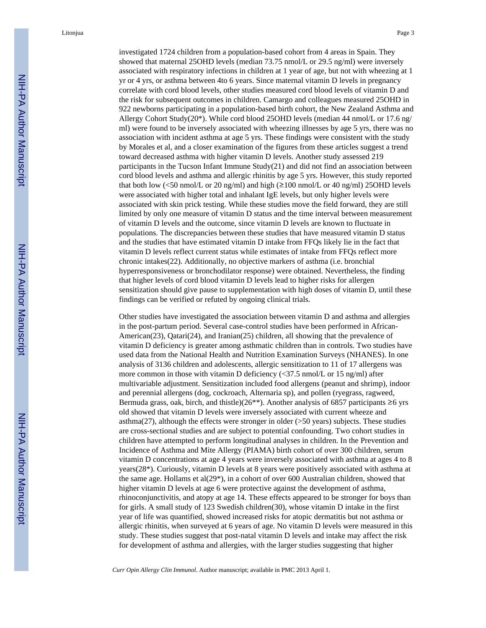Litonjua Page 3

investigated 1724 children from a population-based cohort from 4 areas in Spain. They showed that maternal 25OHD levels (median 73.75 nmol/L or 29.5 ng/ml) were inversely associated with respiratory infections in children at 1 year of age, but not with wheezing at 1 yr or 4 yrs, or asthma between 4to 6 years. Since maternal vitamin D levels in pregnancy correlate with cord blood levels, other studies measured cord blood levels of vitamin D and the risk for subsequent outcomes in children. Camargo and colleagues measured 25OHD in 922 newborns participating in a population-based birth cohort, the New Zealand Asthma and Allergy Cohort Study( $20^*$ ). While cord blood 25OHD levels (median 44 nmol/L or 17.6 ng/ ml) were found to be inversely associated with wheezing illnesses by age 5 yrs, there was no association with incident asthma at age 5 yrs. These findings were consistent with the study by Morales et al, and a closer examination of the figures from these articles suggest a trend toward decreased asthma with higher vitamin D levels. Another study assessed 219 participants in the Tucson Infant Immune Study(21) and did not find an association between cord blood levels and asthma and allergic rhinitis by age 5 yrs. However, this study reported that both low (<50 nmol/L or 20 ng/ml) and high  $(\geq 100 \text{ nmol/L or } 40 \text{ ng/ml})$  25OHD levels were associated with higher total and inhalant IgE levels, but only higher levels were associated with skin prick testing. While these studies move the field forward, they are still limited by only one measure of vitamin D status and the time interval between measurement of vitamin D levels and the outcome, since vitamin D levels are known to fluctuate in populations. The discrepancies between these studies that have measured vitamin D status and the studies that have estimated vitamin D intake from FFQs likely lie in the fact that vitamin D levels reflect current status while estimates of intake from FFQs reflect more chronic intakes(22). Additionally, no objective markers of asthma (i.e. bronchial hyperresponsiveness or bronchodilator response) were obtained. Nevertheless, the finding that higher levels of cord blood vitamin D levels lead to higher risks for allergen sensitization should give pause to supplementation with high doses of vitamin D, until these findings can be verified or refuted by ongoing clinical trials.

Other studies have investigated the association between vitamin D and asthma and allergies in the post-partum period. Several case-control studies have been performed in African-American(23), Qatari(24), and Iranian(25) children, all showing that the prevalence of vitamin D deficiency is greater among asthmatic children than in controls. Two studies have used data from the National Health and Nutrition Examination Surveys (NHANES). In one analysis of 3136 children and adolescents, allergic sensitization to 11 of 17 allergens was more common in those with vitamin D deficiency (<37.5 nmol/L or 15 ng/ml) after multivariable adjustment. Sensitization included food allergens (peanut and shrimp), indoor and perennial allergens (dog, cockroach, Alternaria sp), and pollen (ryegrass, ragweed, Bermuda grass, oak, birch, and thistle)(26<sup>\*\*</sup>). Another analysis of 6857 participants ≥6 yrs old showed that vitamin D levels were inversely associated with current wheeze and asthma $(27)$ , although the effects were stronger in older ( $>50$  years) subjects. These studies are cross-sectional studies and are subject to potential confounding. Two cohort studies in children have attempted to perform longitudinal analyses in children. In the Prevention and Incidence of Asthma and Mite Allergy (PIAMA) birth cohort of over 300 children, serum vitamin D concentrations at age 4 years were inversely associated with asthma at ages 4 to 8 years(28\*). Curiously, vitamin D levels at 8 years were positively associated with asthma at the same age. Hollams et al $(29^*)$ , in a cohort of over 600 Australian children, showed that higher vitamin D levels at age 6 were protective against the development of asthma, rhinoconjunctivitis, and atopy at age 14. These effects appeared to be stronger for boys than for girls. A small study of 123 Swedish children(30), whose vitamin D intake in the first year of life was quantified, showed increased risks for atopic dermatitis but not asthma or allergic rhinitis, when surveyed at 6 years of age. No vitamin D levels were measured in this study. These studies suggest that post-natal vitamin D levels and intake may affect the risk for development of asthma and allergies, with the larger studies suggesting that higher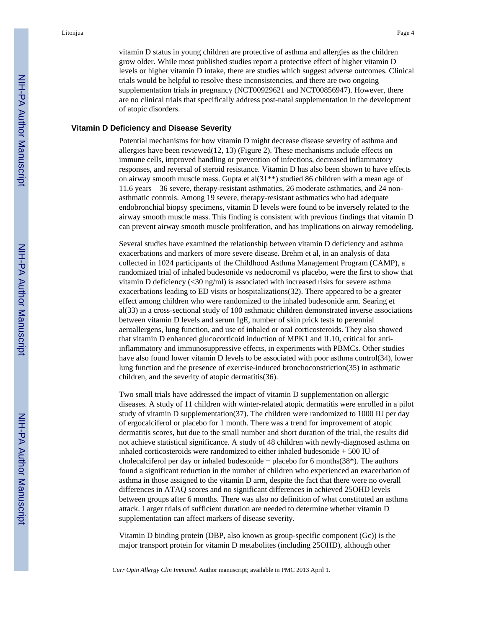vitamin D status in young children are protective of asthma and allergies as the children grow older. While most published studies report a protective effect of higher vitamin D levels or higher vitamin D intake, there are studies which suggest adverse outcomes. Clinical trials would be helpful to resolve these inconsistencies, and there are two ongoing supplementation trials in pregnancy (NCT00929621 and NCT00856947). However, there are no clinical trials that specifically address post-natal supplementation in the development of atopic disorders.

#### **Vitamin D Deficiency and Disease Severity**

Potential mechanisms for how vitamin D might decrease disease severity of asthma and allergies have been reviewed(12, 13) (Figure 2). These mechanisms include effects on immune cells, improved handling or prevention of infections, decreased inflammatory responses, and reversal of steroid resistance. Vitamin D has also been shown to have effects on airway smooth muscle mass. Gupta et al(31\*\*) studied 86 children with a mean age of 11.6 years – 36 severe, therapy-resistant asthmatics, 26 moderate asthmatics, and 24 nonasthmatic controls. Among 19 severe, therapy-resistant asthmatics who had adequate endobronchial biopsy specimens, vitamin D levels were found to be inversely related to the airway smooth muscle mass. This finding is consistent with previous findings that vitamin D can prevent airway smooth muscle proliferation, and has implications on airway remodeling.

Several studies have examined the relationship between vitamin D deficiency and asthma exacerbations and markers of more severe disease. Brehm et al, in an analysis of data collected in 1024 participants of the Childhood Asthma Management Program (CAMP), a randomized trial of inhaled budesonide vs nedocromil vs placebo, were the first to show that vitamin D deficiency (<30 ng/ml) is associated with increased risks for severe asthma exacerbations leading to ED visits or hospitalizations(32). There appeared to be a greater effect among children who were randomized to the inhaled budesonide arm. Searing et al(33) in a cross-sectional study of 100 asthmatic children demonstrated inverse associations between vitamin D levels and serum IgE, number of skin prick tests to perennial aeroallergens, lung function, and use of inhaled or oral corticosteroids. They also showed that vitamin D enhanced glucocorticoid induction of MPK1 and IL10, critical for antiinflammatory and immunosuppressive effects, in experiments with PBMCs. Other studies have also found lower vitamin D levels to be associated with poor asthma control(34), lower lung function and the presence of exercise-induced bronchoconstriction(35) in asthmatic children, and the severity of atopic dermatitis(36).

Two small trials have addressed the impact of vitamin D supplementation on allergic diseases. A study of 11 children with winter-related atopic dermatitis were enrolled in a pilot study of vitamin D supplementation(37). The children were randomized to 1000 IU per day of ergocalciferol or placebo for 1 month. There was a trend for improvement of atopic dermatitis scores, but due to the small number and short duration of the trial, the results did not achieve statistical significance. A study of 48 children with newly-diagnosed asthma on inhaled corticosteroids were randomized to either inhaled budesonide + 500 IU of cholecalciferol per day or inhaled budesonide + placebo for 6 months $(38^*)$ . The authors found a significant reduction in the number of children who experienced an exacerbation of asthma in those assigned to the vitamin D arm, despite the fact that there were no overall differences in ATAQ scores and no significant differences in achieved 25OHD levels between groups after 6 months. There was also no definition of what constituted an asthma attack. Larger trials of sufficient duration are needed to determine whether vitamin D supplementation can affect markers of disease severity.

Vitamin D binding protein (DBP, also known as group-specific component (Gc)) is the major transport protein for vitamin D metabolites (including 25OHD), although other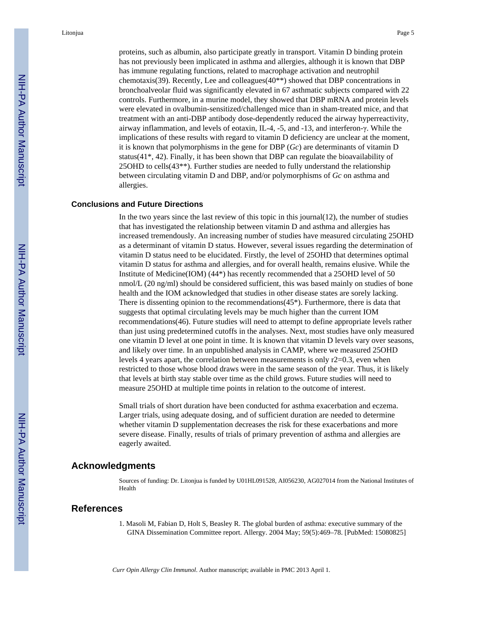proteins, such as albumin, also participate greatly in transport. Vitamin D binding protein has not previously been implicated in asthma and allergies, although it is known that DBP has immune regulating functions, related to macrophage activation and neutrophil chemotaxis(39). Recently, Lee and colleagues(40\*\*) showed that DBP concentrations in bronchoalveolar fluid was significantly elevated in 67 asthmatic subjects compared with 22 controls. Furthermore, in a murine model, they showed that DBP mRNA and protein levels were elevated in ovalbumin-sensitized/challenged mice than in sham-treated mice, and that treatment with an anti-DBP antibody dose-dependently reduced the airway hyperreactivity, airway inflammation, and levels of eotaxin, IL-4, -5, and -13, and interferon-γ. While the implications of these results with regard to vitamin D deficiency are unclear at the moment, it is known that polymorphisms in the gene for DBP (*Gc*) are determinants of vitamin D status( $41^*$ ,  $42$ ). Finally, it has been shown that DBP can regulate the bioavailability of 25OHD to cells(43\*\*). Further studies are needed to fully understand the relationship between circulating vitamin D and DBP, and/or polymorphisms of *Gc* on asthma and allergies.

#### **Conclusions and Future Directions**

In the two years since the last review of this topic in this journal $(12)$ , the number of studies that has investigated the relationship between vitamin D and asthma and allergies has increased tremendously. An increasing number of studies have measured circulating 25OHD as a determinant of vitamin D status. However, several issues regarding the determination of vitamin D status need to be elucidated. Firstly, the level of 25OHD that determines optimal vitamin D status for asthma and allergies, and for overall health, remains elusive. While the Institute of Medicine(IOM) (44\*) has recently recommended that a 25OHD level of 50 nmol/L (20 ng/ml) should be considered sufficient, this was based mainly on studies of bone health and the IOM acknowledged that studies in other disease states are sorely lacking. There is dissenting opinion to the recommendations  $(45^*)$ . Furthermore, there is data that suggests that optimal circulating levels may be much higher than the current IOM recommendations(46). Future studies will need to attempt to define appropriate levels rather than just using predetermined cutoffs in the analyses. Next, most studies have only measured one vitamin D level at one point in time. It is known that vitamin D levels vary over seasons, and likely over time. In an unpublished analysis in CAMP, where we measured 25OHD levels 4 years apart, the correlation between measurements is only r2=0.3, even when restricted to those whose blood draws were in the same season of the year. Thus, it is likely that levels at birth stay stable over time as the child grows. Future studies will need to measure 25OHD at multiple time points in relation to the outcome of interest.

Small trials of short duration have been conducted for asthma exacerbation and eczema. Larger trials, using adequate dosing, and of sufficient duration are needed to determine whether vitamin D supplementation decreases the risk for these exacerbations and more severe disease. Finally, results of trials of primary prevention of asthma and allergies are eagerly awaited.

#### **Acknowledgments**

Sources of funding: Dr. Litonjua is funded by U01HL091528, AI056230, AG027014 from the National Institutes of Health

#### **References**

1. Masoli M, Fabian D, Holt S, Beasley R. The global burden of asthma: executive summary of the GINA Dissemination Committee report. Allergy. 2004 May; 59(5):469–78. [PubMed: 15080825]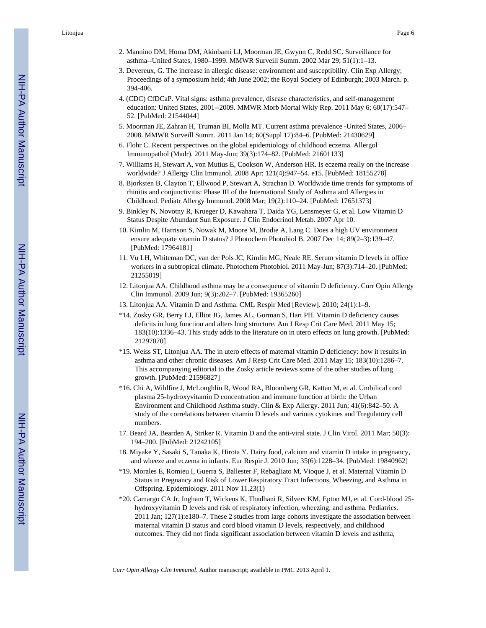Litonjua Page 6

- 2. Mannino DM, Homa DM, Akinbami LJ, Moorman JE, Gwynn C, Redd SC. Surveillance for asthma--United States, 1980–1999. MMWR Surveill Summ. 2002 Mar 29; 51(1):1–13.
- 3. Devereux, G. The increase in allergic disease: environment and susceptibility. Clin Exp Allergy; Proceedings of a symposium held; 4th June 2002; the Royal Society of Edinburgh; 2003 March. p. 394-406.
- 4. (CDC) CfDCaP. Vital signs: asthma prevalence, disease characteristics, and self-management education: United States, 2001--2009. MMWR Morb Mortal Wkly Rep. 2011 May 6; 60(17):547– 52. [PubMed: 21544044]
- 5. Moorman JE, Zahran H, Truman BI, Molla MT. Current asthma prevalence -United States, 2006– 2008. MMWR Surveill Summ. 2011 Jan 14; 60(Suppl 17):84–6. [PubMed: 21430629]
- 6. Flohr C. Recent perspectives on the global epidemiology of childhood eczema. Allergol Immunopathol (Madr). 2011 May-Jun; 39(3):174–82. [PubMed: 21601133]
- 7. Williams H, Stewart A, von Mutius E, Cookson W, Anderson HR. Is eczema really on the increase worldwide? J Allergy Clin Immunol. 2008 Apr; 121(4):947–54. e15. [PubMed: 18155278]
- 8. Bjorksten B, Clayton T, Ellwood P, Stewart A, Strachan D. Worldwide time trends for symptoms of rhinitis and conjunctivitis: Phase III of the International Study of Asthma and Allergies in Childhood. Pediatr Allergy Immunol. 2008 Mar; 19(2):110–24. [PubMed: 17651373]
- 9. Binkley N, Novotny R, Krueger D, Kawahara T, Daida YG, Lensmeyer G, et al. Low Vitamin D Status Despite Abundant Sun Exposure. J Clin Endocrinol Metab. 2007 Apr 10.
- 10. Kimlin M, Harrison S, Nowak M, Moore M, Brodie A, Lang C. Does a high UV environment ensure adequate vitamin D status? J Photochem Photobiol B. 2007 Dec 14; 89(2–3):139–47. [PubMed: 17964181]
- 11. Vu LH, Whiteman DC, van der Pols JC, Kimlin MG, Neale RE. Serum vitamin D levels in office workers in a subtropical climate. Photochem Photobiol. 2011 May-Jun; 87(3):714–20. [PubMed: 21255019]
- 12. Litonjua AA. Childhood asthma may be a consequence of vitamin D deficiency. Curr Opin Allergy Clin Immunol. 2009 Jun; 9(3):202–7. [PubMed: 19365260]
- 13. Litonjua AA. Vitamin D and Asthma. CML Respir Med [Review]. 2010; 24(1):1–9.
- \*14. Zosky GR, Berry LJ, Elliot JG, James AL, Gorman S, Hart PH. Vitamin D deficiency causes deficits in lung function and alters lung structure. Am J Resp Crit Care Med. 2011 May 15; 183(10):1336–43. This study adds to the literature on in utero effects on lung growth. [PubMed: 21297070]
- \*15. Weiss ST, Litonjua AA. The in utero effects of maternal vitamin D deficiency: how it results in asthma and other chronic diseases. Am J Resp Crit Care Med. 2011 May 15; 183(10):1286–7. This accompanying editorial to the Zosky article reviews some of the other studies of lung growth. [PubMed: 21596827]
- \*16. Chi A, Wildfire J, McLoughlin R, Wood RA, Bloomberg GR, Kattan M, et al. Umbilical cord plasma 25-hydroxyvitamin D concentration and immune function at birth: the Urban Environment and Childhood Asthma study. Clin & Exp Allergy. 2011 Jun; 41(6):842–50. A study of the correlations between vitamin D levels and various cytokines and Tregulatory cell numbers.
- 17. Beard JA, Bearden A, Striker R. Vitamin D and the anti-viral state. J Clin Virol. 2011 Mar; 50(3): 194–200. [PubMed: 21242105]
- 18. Miyake Y, Sasaki S, Tanaka K, Hirota Y. Dairy food, calcium and vitamin D intake in pregnancy, and wheeze and eczema in infants. Eur Respir J. 2010 Jun; 35(6):1228–34. [PubMed: 19840962]
- \*19. Morales E, Romieu I, Guerra S, Ballester F, Rebagliato M, Vioque J, et al. Maternal Vitamin D Status in Pregnancy and Risk of Lower Respiratory Tract Infections, Wheezing, and Asthma in Offspring. Epidemiology. 2011 Nov 11.23(1)
- \*20. Camargo CA Jr, Ingham T, Wickens K, Thadhani R, Silvers KM, Epton MJ, et al. Cord-blood 25 hydroxyvitamin D levels and risk of respiratory infection, wheezing, and asthma. Pediatrics. 2011 Jan; 127(1):e180–7. These 2 studies from large cohorts investigate the association between maternal vitamin D status and cord blood vitamin D levels, respectively, and childhood outcomes. They did not finda significant association between vitamin D levels and asthma,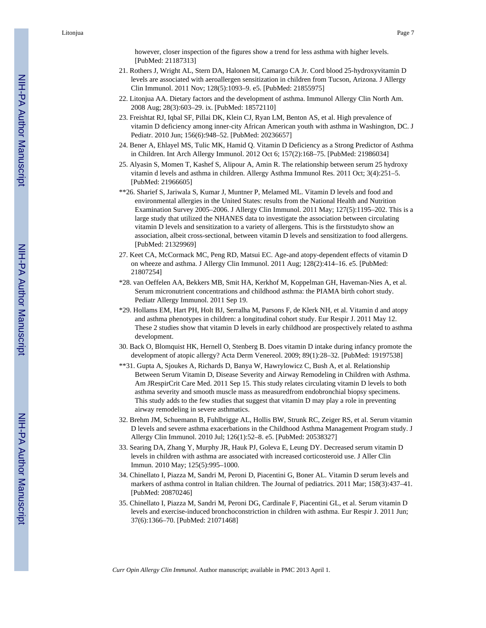- 21. Rothers J, Wright AL, Stern DA, Halonen M, Camargo CA Jr. Cord blood 25-hydroxyvitamin D levels are associated with aeroallergen sensitization in children from Tucson, Arizona. J Allergy Clin Immunol. 2011 Nov; 128(5):1093–9. e5. [PubMed: 21855975]
- 22. Litonjua AA. Dietary factors and the development of asthma. Immunol Allergy Clin North Am. 2008 Aug; 28(3):603–29. ix. [PubMed: 18572110]
- 23. Freishtat RJ, Iqbal SF, Pillai DK, Klein CJ, Ryan LM, Benton AS, et al. High prevalence of vitamin D deficiency among inner-city African American youth with asthma in Washington, DC. J Pediatr. 2010 Jun; 156(6):948–52. [PubMed: 20236657]
- 24. Bener A, Ehlayel MS, Tulic MK, Hamid Q. Vitamin D Deficiency as a Strong Predictor of Asthma in Children. Int Arch Allergy Immunol. 2012 Oct 6; 157(2):168–75. [PubMed: 21986034]
- 25. Alyasin S, Momen T, Kashef S, Alipour A, Amin R. The relationship between serum 25 hydroxy vitamin d levels and asthma in children. Allergy Asthma Immunol Res. 2011 Oct; 3(4):251–5. [PubMed: 21966605]
- \*\*26. Sharief S, Jariwala S, Kumar J, Muntner P, Melamed ML. Vitamin D levels and food and environmental allergies in the United States: results from the National Health and Nutrition Examination Survey 2005–2006. J Allergy Clin Immunol. 2011 May; 127(5):1195–202. This is a large study that utilized the NHANES data to investigate the association between circulating vitamin D levels and sensitization to a variety of allergens. This is the firststudyto show an association, albeit cross-sectional, between vitamin D levels and sensitization to food allergens. [PubMed: 21329969]
- 27. Keet CA, McCormack MC, Peng RD, Matsui EC. Age-and atopy-dependent effects of vitamin D on wheeze and asthma. J Allergy Clin Immunol. 2011 Aug; 128(2):414–16. e5. [PubMed: 21807254]
- \*28. van Oeffelen AA, Bekkers MB, Smit HA, Kerkhof M, Koppelman GH, Haveman-Nies A, et al. Serum micronutrient concentrations and childhood asthma: the PIAMA birth cohort study. Pediatr Allergy Immunol. 2011 Sep 19.
- \*29. Hollams EM, Hart PH, Holt BJ, Serralha M, Parsons F, de Klerk NH, et al. Vitamin d and atopy and asthma phenotypes in children: a longitudinal cohort study. Eur Respir J. 2011 May 12. These 2 studies show that vitamin D levels in early childhood are prospectively related to asthma development.
- 30. Back O, Blomquist HK, Hernell O, Stenberg B. Does vitamin D intake during infancy promote the development of atopic allergy? Acta Derm Venereol. 2009; 89(1):28–32. [PubMed: 19197538]
- \*\*31. Gupta A, Sjoukes A, Richards D, Banya W, Hawrylowicz C, Bush A, et al. Relationship Between Serum Vitamin D, Disease Severity and Airway Remodeling in Children with Asthma. Am JRespirCrit Care Med. 2011 Sep 15. This study relates circulating vitamin D levels to both asthma severity and smooth muscle mass as measuredfrom endobronchial biopsy specimens. This study adds to the few studies that suggest that vitamin D may play a role in preventing airway remodeling in severe asthmatics.
- 32. Brehm JM, Schuemann B, Fuhlbrigge AL, Hollis BW, Strunk RC, Zeiger RS, et al. Serum vitamin D levels and severe asthma exacerbations in the Childhood Asthma Management Program study. J Allergy Clin Immunol. 2010 Jul; 126(1):52–8. e5. [PubMed: 20538327]
- 33. Searing DA, Zhang Y, Murphy JR, Hauk PJ, Goleva E, Leung DY. Decreased serum vitamin D levels in children with asthma are associated with increased corticosteroid use. J Aller Clin Immun. 2010 May; 125(5):995–1000.
- 34. Chinellato I, Piazza M, Sandri M, Peroni D, Piacentini G, Boner AL. Vitamin D serum levels and markers of asthma control in Italian children. The Journal of pediatrics. 2011 Mar; 158(3):437–41. [PubMed: 20870246]
- 35. Chinellato I, Piazza M, Sandri M, Peroni DG, Cardinale F, Piacentini GL, et al. Serum vitamin D levels and exercise-induced bronchoconstriction in children with asthma. Eur Respir J. 2011 Jun; 37(6):1366–70. [PubMed: 21071468]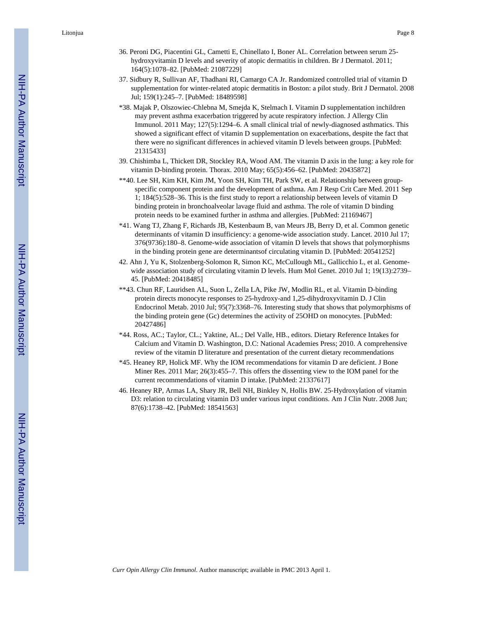Litonjua Page 8

- 36. Peroni DG, Piacentini GL, Cametti E, Chinellato I, Boner AL. Correlation between serum 25 hydroxyvitamin D levels and severity of atopic dermatitis in children. Br J Dermatol. 2011; 164(5):1078–82. [PubMed: 21087229]
- 37. Sidbury R, Sullivan AF, Thadhani RI, Camargo CA Jr. Randomized controlled trial of vitamin D supplementation for winter-related atopic dermatitis in Boston: a pilot study. Brit J Dermatol. 2008 Jul; 159(1):245–7. [PubMed: 18489598]
- \*38. Majak P, Olszowiec-Chlebna M, Smejda K, Stelmach I. Vitamin D supplementation inchildren may prevent asthma exacerbation triggered by acute respiratory infection. J Allergy Clin Immunol. 2011 May; 127(5):1294–6. A small clinical trial of newly-diagnosed asthmatics. This showed a significant effect of vitamin D supplementation on exacerbations, despite the fact that there were no significant differences in achieved vitamin D levels between groups. [PubMed: 21315433]
- 39. Chishimba L, Thickett DR, Stockley RA, Wood AM. The vitamin D axis in the lung: a key role for vitamin D-binding protein. Thorax. 2010 May; 65(5):456–62. [PubMed: 20435872]
- \*\*40. Lee SH, Kim KH, Kim JM, Yoon SH, Kim TH, Park SW, et al. Relationship between groupspecific component protein and the development of asthma. Am J Resp Crit Care Med. 2011 Sep 1; 184(5):528–36. This is the first study to report a relationship between levels of vitamin D binding protein in bronchoalveolar lavage fluid and asthma. The role of vitamin D binding protein needs to be examined further in asthma and allergies. [PubMed: 21169467]
- \*41. Wang TJ, Zhang F, Richards JB, Kestenbaum B, van Meurs JB, Berry D, et al. Common genetic determinants of vitamin D insufficiency: a genome-wide association study. Lancet. 2010 Jul 17; 376(9736):180–8. Genome-wide association of vitamin D levels that shows that polymorphisms in the binding protein gene are determinantsof circulating vitamin D. [PubMed: 20541252]
- 42. Ahn J, Yu K, Stolzenberg-Solomon R, Simon KC, McCullough ML, Gallicchio L, et al. Genomewide association study of circulating vitamin D levels. Hum Mol Genet. 2010 Jul 1; 19(13):2739-45. [PubMed: 20418485]
- \*\*43. Chun RF, Lauridsen AL, Suon L, Zella LA, Pike JW, Modlin RL, et al. Vitamin D-binding protein directs monocyte responses to 25-hydroxy-and 1,25-dihydroxyvitamin D. J Clin Endocrinol Metab. 2010 Jul; 95(7):3368–76. Interesting study that shows that polymorphisms of the binding protein gene (Gc) determines the activity of 25OHD on monocytes. [PubMed: 20427486]
- \*44. Ross, AC.; Taylor, CL.; Yaktine, AL.; Del Valle, HB., editors. Dietary Reference Intakes for Calcium and Vitamin D. Washington, D.C: National Academies Press; 2010. A comprehensive review of the vitamin D literature and presentation of the current dietary recommendations
- \*45. Heaney RP, Holick MF. Why the IOM recommendations for vitamin D are deficient. J Bone Miner Res. 2011 Mar; 26(3):455–7. This offers the dissenting view to the IOM panel for the current recommendations of vitamin D intake. [PubMed: 21337617]
- 46. Heaney RP, Armas LA, Shary JR, Bell NH, Binkley N, Hollis BW. 25-Hydroxylation of vitamin D3: relation to circulating vitamin D3 under various input conditions. Am J Clin Nutr. 2008 Jun; 87(6):1738–42. [PubMed: 18541563]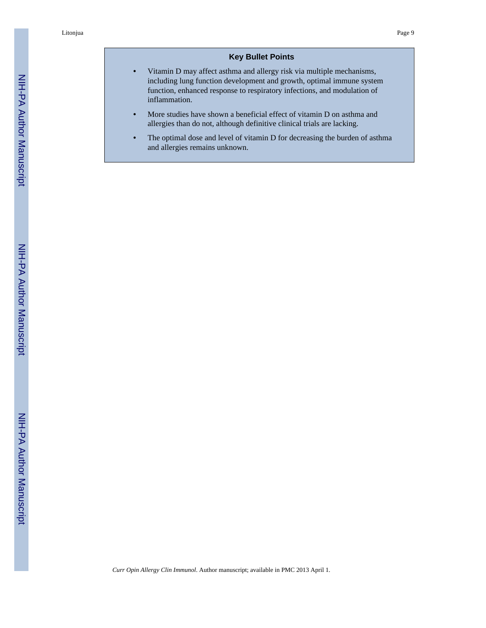## **Key Bullet Points**

- **•** Vitamin D may affect asthma and allergy risk via multiple mechanisms, including lung function development and growth, optimal immune system function, enhanced response to respiratory infections, and modulation of inflammation.
- **•** More studies have shown a beneficial effect of vitamin D on asthma and allergies than do not, although definitive clinical trials are lacking.
- The optimal dose and level of vitamin D for decreasing the burden of asthma and allergies remains unknown.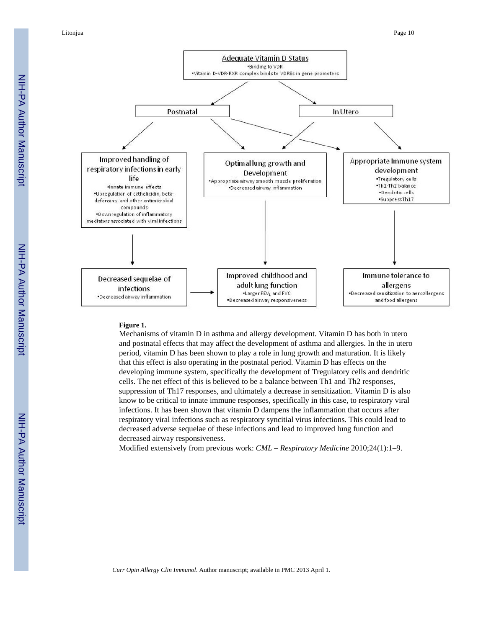

#### **Figure 1.**

Mechanisms of vitamin D in asthma and allergy development. Vitamin D has both in utero and postnatal effects that may affect the development of asthma and allergies. In the in utero period, vitamin D has been shown to play a role in lung growth and maturation. It is likely that this effect is also operating in the postnatal period. Vitamin D has effects on the developing immune system, specifically the development of Tregulatory cells and dendritic cells. The net effect of this is believed to be a balance between Th1 and Th2 responses, suppression of Th17 responses, and ultimately a decrease in sensitization. Vitamin D is also know to be critical to innate immune responses, specifically in this case, to respiratory viral infections. It has been shown that vitamin D dampens the inflammation that occurs after respiratory viral infections such as respiratory syncitial virus infections. This could lead to decreased adverse sequelae of these infections and lead to improved lung function and decreased airway responsiveness.

Modified extensively from previous work: *CML* – *Respiratory Medicine* 2010;24(1):1–9.